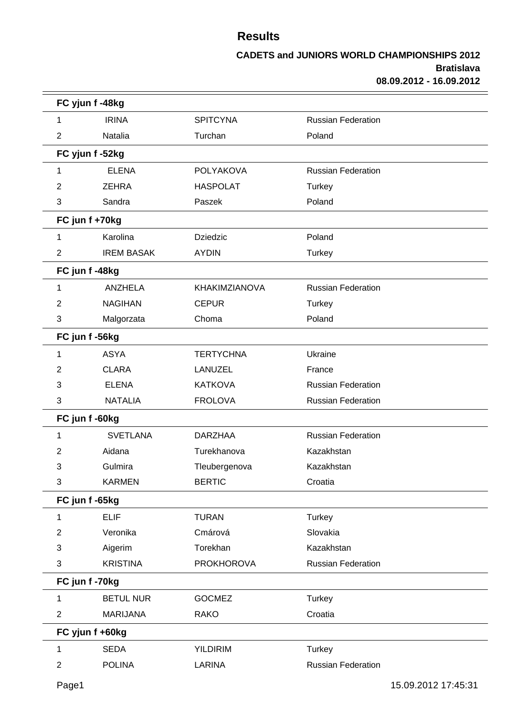|                | FC yjun f -48kg   |                   |                           |  |  |
|----------------|-------------------|-------------------|---------------------------|--|--|
| 1              | <b>IRINA</b>      | <b>SPITCYNA</b>   | <b>Russian Federation</b> |  |  |
| $\overline{2}$ | Natalia           | Turchan           | Poland                    |  |  |
|                | FC yjun f -52kg   |                   |                           |  |  |
| 1              | <b>ELENA</b>      | <b>POLYAKOVA</b>  | <b>Russian Federation</b> |  |  |
| 2              | <b>ZEHRA</b>      | <b>HASPOLAT</b>   | <b>Turkey</b>             |  |  |
| 3              | Sandra            | Paszek            | Poland                    |  |  |
|                | FC jun f +70kg    |                   |                           |  |  |
| 1              | Karolina          | <b>Dziedzic</b>   | Poland                    |  |  |
| $\overline{2}$ | <b>IREM BASAK</b> | <b>AYDIN</b>      | <b>Turkey</b>             |  |  |
|                | FC jun f-48kg     |                   |                           |  |  |
| 1              | <b>ANZHELA</b>    | KHAKIMZIANOVA     | <b>Russian Federation</b> |  |  |
| 2              | <b>NAGIHAN</b>    | <b>CEPUR</b>      | Turkey                    |  |  |
| 3              | Malgorzata        | Choma             | Poland                    |  |  |
|                | FC jun f -56kg    |                   |                           |  |  |
| 1              | <b>ASYA</b>       | <b>TERTYCHNA</b>  | Ukraine                   |  |  |
| 2              | <b>CLARA</b>      | LANUZEL           | France                    |  |  |
| 3              | <b>ELENA</b>      | <b>KATKOVA</b>    | <b>Russian Federation</b> |  |  |
| 3              | <b>NATALIA</b>    | <b>FROLOVA</b>    | <b>Russian Federation</b> |  |  |
|                | FC jun f -60kg    |                   |                           |  |  |
| 1              | <b>SVETLANA</b>   | <b>DARZHAA</b>    | <b>Russian Federation</b> |  |  |
| 2              | Aidana            | Turekhanova       | Kazakhstan                |  |  |
| 3              | Gulmira           | Tleubergenova     | Kazakhstan                |  |  |
| $\sqrt{3}$     | <b>KARMEN</b>     | <b>BERTIC</b>     | Croatia                   |  |  |
|                | FC jun f -65kg    |                   |                           |  |  |
| 1              | <b>ELIF</b>       | <b>TURAN</b>      | <b>Turkey</b>             |  |  |
| $\overline{2}$ | Veronika          | Cmárová           | Slovakia                  |  |  |
| 3              | Aigerim           | Torekhan          | Kazakhstan                |  |  |
| 3              | <b>KRISTINA</b>   | <b>PROKHOROVA</b> | Russian Federation        |  |  |
|                | FC jun f-70kg     |                   |                           |  |  |
| 1              | <b>BETUL NUR</b>  | <b>GOCMEZ</b>     | <b>Turkey</b>             |  |  |
| $\overline{2}$ | <b>MARIJANA</b>   | <b>RAKO</b>       | Croatia                   |  |  |
|                | FC yjun f +60kg   |                   |                           |  |  |
| 1              | <b>SEDA</b>       | <b>YILDIRIM</b>   | <b>Turkey</b>             |  |  |
| $\overline{2}$ | <b>POLINA</b>     | LARINA            | <b>Russian Federation</b> |  |  |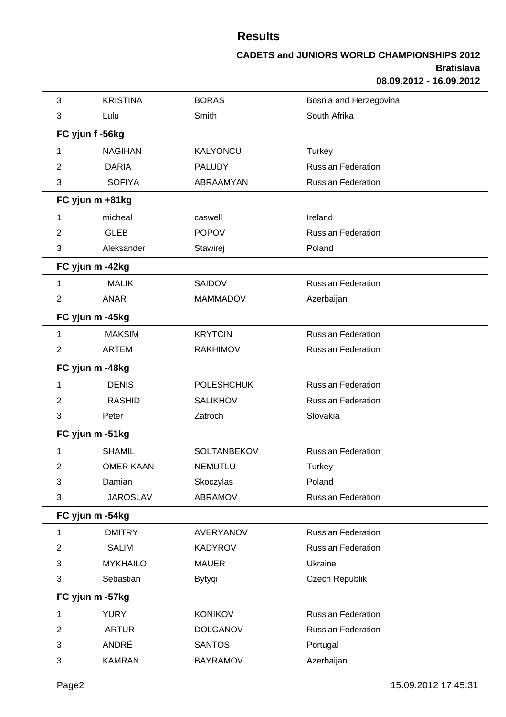| 3              | <b>KRISTINA</b>  | <b>BORAS</b>      | Bosnia and Herzegovina    |  |
|----------------|------------------|-------------------|---------------------------|--|
| 3              | Lulu             | Smith             | South Afrika              |  |
|                | FC yjun f -56kg  |                   |                           |  |
| 1              | <b>NAGIHAN</b>   | <b>KALYONCU</b>   | Turkey                    |  |
| 2              | <b>DARIA</b>     | <b>PALUDY</b>     | <b>Russian Federation</b> |  |
| 3              | <b>SOFIYA</b>    | ABRAAMYAN         | <b>Russian Federation</b> |  |
|                | FC yjun m +81kg  |                   |                           |  |
| 1              | micheal          | caswell           | Ireland                   |  |
| 2              | <b>GLEB</b>      | <b>POPOV</b>      | <b>Russian Federation</b> |  |
| 3              | Aleksander       | Stawirej          | Poland                    |  |
|                | FC yjun m -42kg  |                   |                           |  |
| 1              | <b>MALIK</b>     | <b>SAIDOV</b>     | <b>Russian Federation</b> |  |
| $\overline{2}$ | <b>ANAR</b>      | <b>MAMMADOV</b>   | Azerbaijan                |  |
|                | FC yjun m -45kg  |                   |                           |  |
| 1              | <b>MAKSIM</b>    | <b>KRYTCIN</b>    | <b>Russian Federation</b> |  |
| $\overline{2}$ | <b>ARTEM</b>     | <b>RAKHIMOV</b>   | <b>Russian Federation</b> |  |
|                | FC yjun m -48kg  |                   |                           |  |
| 1              | <b>DENIS</b>     | <b>POLESHCHUK</b> | <b>Russian Federation</b> |  |
| 2              | <b>RASHID</b>    | <b>SALIKHOV</b>   | <b>Russian Federation</b> |  |
| 3              | Peter            | Zatroch           | Slovakia                  |  |
|                | FC yjun m -51kg  |                   |                           |  |
| 1              | <b>SHAMIL</b>    | SOLTANBEKOV       | <b>Russian Federation</b> |  |
| 2              | <b>OMER KAAN</b> | <b>NEMUTLU</b>    | <b>Turkey</b>             |  |
| 3              | Damian           | Skoczylas         | Poland                    |  |
| 3              | <b>JAROSLAV</b>  | ABRAMOV           | <b>Russian Federation</b> |  |
|                | FC yjun m -54kg  |                   |                           |  |
| 1              | <b>DMITRY</b>    | AVERYANOV         | <b>Russian Federation</b> |  |
| 2              | <b>SALIM</b>     | <b>KADYROV</b>    | <b>Russian Federation</b> |  |
| 3              | <b>MYKHAILO</b>  | <b>MAUER</b>      | Ukraine                   |  |
| 3              | Sebastian        | Bytyqi            | Czech Republik            |  |
|                | FC yjun m -57kg  |                   |                           |  |
| 1              | <b>YURY</b>      | <b>KONIKOV</b>    | <b>Russian Federation</b> |  |
| $\overline{2}$ | <b>ARTUR</b>     | <b>DOLGANOV</b>   | <b>Russian Federation</b> |  |
| 3              | ANDRÉ            | <b>SANTOS</b>     | Portugal                  |  |
| 3              | <b>KAMRAN</b>    | <b>BAYRAMOV</b>   | Azerbaijan                |  |
|                |                  |                   |                           |  |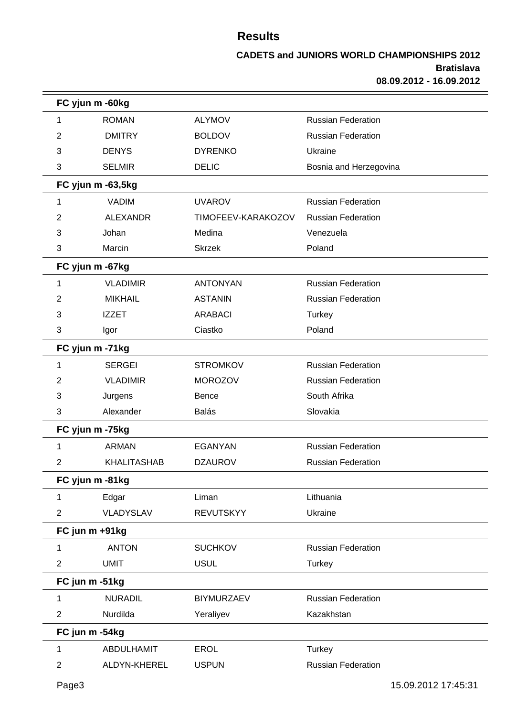| FC yjun m -60kg |                    |                    |                           |
|-----------------|--------------------|--------------------|---------------------------|
| 1               | <b>ROMAN</b>       | <b>ALYMOV</b>      | <b>Russian Federation</b> |
| 2               | <b>DMITRY</b>      | <b>BOLDOV</b>      | <b>Russian Federation</b> |
| 3               | <b>DENYS</b>       | <b>DYRENKO</b>     | Ukraine                   |
| 3               | <b>SELMIR</b>      | <b>DELIC</b>       | Bosnia and Herzegovina    |
|                 | FC yjun m -63,5kg  |                    |                           |
| 1               | <b>VADIM</b>       | <b>UVAROV</b>      | <b>Russian Federation</b> |
| 2               | <b>ALEXANDR</b>    | TIMOFEEV-KARAKOZOV | <b>Russian Federation</b> |
| 3               | Johan              | Medina             | Venezuela                 |
| 3               | Marcin             | <b>Skrzek</b>      | Poland                    |
| FC yjun m -67kg |                    |                    |                           |
| 1               | <b>VLADIMIR</b>    | <b>ANTONYAN</b>    | <b>Russian Federation</b> |
| 2               | <b>MIKHAIL</b>     | <b>ASTANIN</b>     | <b>Russian Federation</b> |
| 3               | <b>IZZET</b>       | <b>ARABACI</b>     | <b>Turkey</b>             |
| 3               | Igor               | Ciastko            | Poland                    |
| FC yjun m -71kg |                    |                    |                           |
| 1               | <b>SERGEI</b>      | <b>STROMKOV</b>    | <b>Russian Federation</b> |
| 2               | <b>VLADIMIR</b>    | <b>MOROZOV</b>     | <b>Russian Federation</b> |
| 3               | Jurgens            | Bence              | South Afrika              |
| 3               | Alexander          | <b>Balás</b>       | Slovakia                  |
| FC yjun m -75kg |                    |                    |                           |
| 1               | <b>ARMAN</b>       | <b>EGANYAN</b>     | <b>Russian Federation</b> |
| 2               | <b>KHALITASHAB</b> | <b>DZAUROV</b>     | <b>Russian Federation</b> |
| FC yjun m -81kg |                    |                    |                           |
| 1               | Edgar              | Liman              | Lithuania                 |
| $\overline{2}$  | VLADYSLAV          | <b>REVUTSKYY</b>   | Ukraine                   |
| FC jun m +91kg  |                    |                    |                           |
| 1               | <b>ANTON</b>       | <b>SUCHKOV</b>     | <b>Russian Federation</b> |
| $\overline{2}$  | <b>UMIT</b>        | <b>USUL</b>        | <b>Turkey</b>             |
| FC jun m -51kg  |                    |                    |                           |
| 1               | <b>NURADIL</b>     | <b>BIYMURZAEV</b>  | <b>Russian Federation</b> |
| $\overline{2}$  | Nurdilda           | Yeraliyev          | Kazakhstan                |
| FC jun m -54kg  |                    |                    |                           |
| 1               | <b>ABDULHAMIT</b>  | <b>EROL</b>        | Turkey                    |
| $\overline{2}$  | ALDYN-KHEREL       | <b>USPUN</b>       | <b>Russian Federation</b> |
|                 |                    |                    |                           |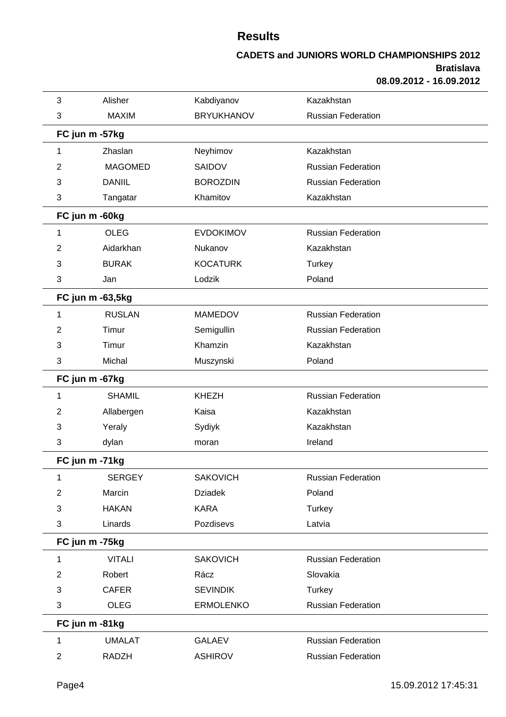| 3              | Alisher          | Kabdiyanov        | Kazakhstan                |  |
|----------------|------------------|-------------------|---------------------------|--|
| 3              | <b>MAXIM</b>     | <b>BRYUKHANOV</b> | <b>Russian Federation</b> |  |
|                | FC jun m -57kg   |                   |                           |  |
| 1              | Zhaslan          | Neyhimov          | Kazakhstan                |  |
| 2              | <b>MAGOMED</b>   | SAIDOV            | <b>Russian Federation</b> |  |
| 3              | <b>DANIIL</b>    | <b>BOROZDIN</b>   | <b>Russian Federation</b> |  |
| 3              | Tangatar         | Khamitov          | Kazakhstan                |  |
|                | FC jun m -60kg   |                   |                           |  |
| 1              | <b>OLEG</b>      | <b>EVDOKIMOV</b>  | <b>Russian Federation</b> |  |
| 2              | Aidarkhan        | Nukanov           | Kazakhstan                |  |
| 3              | <b>BURAK</b>     | <b>KOCATURK</b>   | <b>Turkey</b>             |  |
| 3              | Jan              | Lodzik            | Poland                    |  |
|                | FC jun m -63,5kg |                   |                           |  |
| 1              | <b>RUSLAN</b>    | <b>MAMEDOV</b>    | <b>Russian Federation</b> |  |
| 2              | Timur            | Semigullin        | <b>Russian Federation</b> |  |
| 3              | Timur            | Khamzin           | Kazakhstan                |  |
| 3              | Michal           | Muszynski         | Poland                    |  |
|                | FC jun m -67kg   |                   |                           |  |
| 1              | <b>SHAMIL</b>    | <b>KHEZH</b>      | <b>Russian Federation</b> |  |
| 2              | Allabergen       | Kaisa             | Kazakhstan                |  |
| 3              | Yeraly           | Sydiyk            | Kazakhstan                |  |
| 3              | dylan            | moran             | Ireland                   |  |
|                | FC jun m -71kg   |                   |                           |  |
| 1              | <b>SERGEY</b>    | <b>SAKOVICH</b>   | <b>Russian Federation</b> |  |
| $\overline{2}$ | Marcin           | <b>Dziadek</b>    | Poland                    |  |
| 3              | <b>HAKAN</b>     | <b>KARA</b>       | <b>Turkey</b>             |  |
| 3              | Linards          | Pozdisevs         | Latvia                    |  |
|                | FC jun m -75kg   |                   |                           |  |
| 1              | <b>VITALI</b>    | <b>SAKOVICH</b>   | <b>Russian Federation</b> |  |
| $\overline{c}$ | Robert           | Rácz              | Slovakia                  |  |
| 3              | <b>CAFER</b>     | <b>SEVINDIK</b>   | <b>Turkey</b>             |  |
| 3              | <b>OLEG</b>      | <b>ERMOLENKO</b>  | <b>Russian Federation</b> |  |
|                | FC jun m -81kg   |                   |                           |  |
| 1              | <b>UMALAT</b>    | <b>GALAEV</b>     | <b>Russian Federation</b> |  |
| $\overline{c}$ | <b>RADZH</b>     | <b>ASHIROV</b>    | Russian Federation        |  |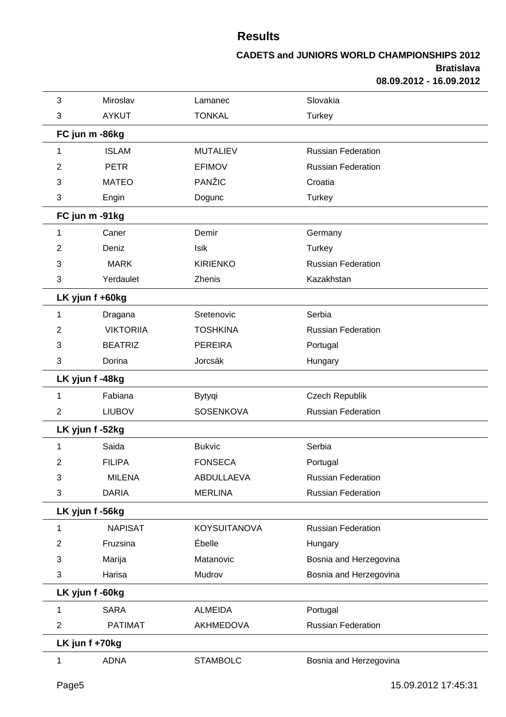| 3               | Miroslav         | Lamanec             | Slovakia                  |
|-----------------|------------------|---------------------|---------------------------|
| 3               | <b>AYKUT</b>     | <b>TONKAL</b>       | <b>Turkey</b>             |
| FC jun m -86kg  |                  |                     |                           |
| 1               | <b>ISLAM</b>     | <b>MUTALIEV</b>     | <b>Russian Federation</b> |
| 2               | <b>PETR</b>      | <b>EFIMOV</b>       | <b>Russian Federation</b> |
| 3               | <b>MATEO</b>     | PANŽIC              | Croatia                   |
| 3               | Engin            | Dogunc              | <b>Turkey</b>             |
| FC jun m -91kg  |                  |                     |                           |
| 1               | Caner            | Demir               | Germany                   |
| 2               | Deniz            | Isik                | <b>Turkey</b>             |
| 3               | <b>MARK</b>      | <b>KIRIENKO</b>     | <b>Russian Federation</b> |
| 3               | Yerdaulet        | Zhenis              | Kazakhstan                |
| LK yjun f +60kg |                  |                     |                           |
| 1               | Dragana          | Sretenovic          | Serbia                    |
| 2               | <b>VIKTORIIA</b> | <b>TOSHKINA</b>     | <b>Russian Federation</b> |
| 3               | <b>BEATRIZ</b>   | <b>PEREIRA</b>      | Portugal                  |
| 3               | Dorina           | Jorcsák             | Hungary                   |
| LK yjun f-48kg  |                  |                     |                           |
| 1               | Fabiana          | Bytyqi              | Czech Republik            |
| $\overline{2}$  | <b>LIUBOV</b>    | SOSENKOVA           | <b>Russian Federation</b> |
| LK yjun f -52kg |                  |                     |                           |
| 1               | Saida            | <b>Bukvic</b>       | Serbia                    |
| 2               | <b>FILIPA</b>    | <b>FONSECA</b>      | Portugal                  |
| 3               | <b>MILENA</b>    | ABDULLAEVA          | <b>Russian Federation</b> |
| 3               | <b>DARIA</b>     | <b>MERLINA</b>      | <b>Russian Federation</b> |
| LK yjun f -56kg |                  |                     |                           |
| 1               | <b>NAPISAT</b>   | <b>KOYSUITANOVA</b> | <b>Russian Federation</b> |
| 2               | Fruzsina         | Ébelle              | Hungary                   |
| 3               | Marija           | Matanovic           | Bosnia and Herzegovina    |
| 3               | Harisa           | Mudrov              | Bosnia and Herzegovina    |
| LK yjun f -60kg |                  |                     |                           |
| 1               | <b>SARA</b>      | <b>ALMEIDA</b>      | Portugal                  |
| $\overline{c}$  | <b>PATIMAT</b>   | AKHMEDOVA           | <b>Russian Federation</b> |
| LK jun f +70kg  |                  |                     |                           |
| 1               | <b>ADNA</b>      | <b>STAMBOLC</b>     | Bosnia and Herzegovina    |
|                 |                  |                     |                           |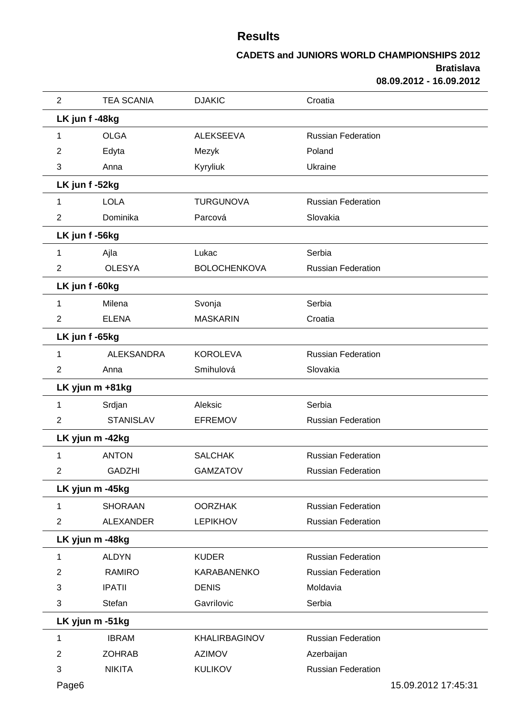| $\overline{2}$ | <b>TEA SCANIA</b> | <b>DJAKIC</b>       | Croatia                   |                     |
|----------------|-------------------|---------------------|---------------------------|---------------------|
|                | LK jun f-48kg     |                     |                           |                     |
| 1              | <b>OLGA</b>       | <b>ALEKSEEVA</b>    | <b>Russian Federation</b> |                     |
| 2              | Edyta             | Mezyk               | Poland                    |                     |
| 3              | Anna              | Kyryliuk            | Ukraine                   |                     |
|                | LK jun f-52kg     |                     |                           |                     |
| 1              | <b>LOLA</b>       | <b>TURGUNOVA</b>    | <b>Russian Federation</b> |                     |
| $\overline{2}$ | Dominika          | Parcová             | Slovakia                  |                     |
|                | LK jun f-56kg     |                     |                           |                     |
| 1              | Ajla              | Lukac               | Serbia                    |                     |
| 2              | <b>OLESYA</b>     | <b>BOLOCHENKOVA</b> | <b>Russian Federation</b> |                     |
|                | LK jun f-60kg     |                     |                           |                     |
| 1              | Milena            | Svonja              | Serbia                    |                     |
| 2              | <b>ELENA</b>      | <b>MASKARIN</b>     | Croatia                   |                     |
|                | LK jun f -65kg    |                     |                           |                     |
| 1              | <b>ALEKSANDRA</b> | <b>KOROLEVA</b>     | <b>Russian Federation</b> |                     |
| $\overline{c}$ | Anna              | Smihulová           | Slovakia                  |                     |
|                | LK yjun m +81kg   |                     |                           |                     |
| 1              | Srdjan            | Aleksic             | Serbia                    |                     |
| 2              | <b>STANISLAV</b>  | <b>EFREMOV</b>      | <b>Russian Federation</b> |                     |
|                | LK yjun m -42kg   |                     |                           |                     |
|                | <b>ANTON</b>      | <b>SALCHAK</b>      | <b>Russian Federation</b> |                     |
| 2              | <b>GADZHI</b>     | <b>GAMZATOV</b>     | <b>Russian Federation</b> |                     |
|                | LK yjun m -45kg   |                     |                           |                     |
| 1              | <b>SHORAAN</b>    | <b>OORZHAK</b>      | <b>Russian Federation</b> |                     |
| $\overline{2}$ | <b>ALEXANDER</b>  | <b>LEPIKHOV</b>     | <b>Russian Federation</b> |                     |
|                | LK yjun m -48kg   |                     |                           |                     |
| 1              | <b>ALDYN</b>      | <b>KUDER</b>        | <b>Russian Federation</b> |                     |
| 2              | <b>RAMIRO</b>     | KARABANENKO         | <b>Russian Federation</b> |                     |
| 3              | <b>IPATII</b>     | <b>DENIS</b>        | Moldavia                  |                     |
| 3              | Stefan            | Gavrilovic          | Serbia                    |                     |
|                | LK yjun m -51kg   |                     |                           |                     |
| 1              | <b>IBRAM</b>      | KHALIRBAGINOV       | <b>Russian Federation</b> |                     |
| 2              | <b>ZOHRAB</b>     | <b>AZIMOV</b>       | Azerbaijan                |                     |
| 3              | <b>NIKITA</b>     | <b>KULIKOV</b>      | <b>Russian Federation</b> |                     |
| Page6          |                   |                     |                           | 15.09.2012 17:45:31 |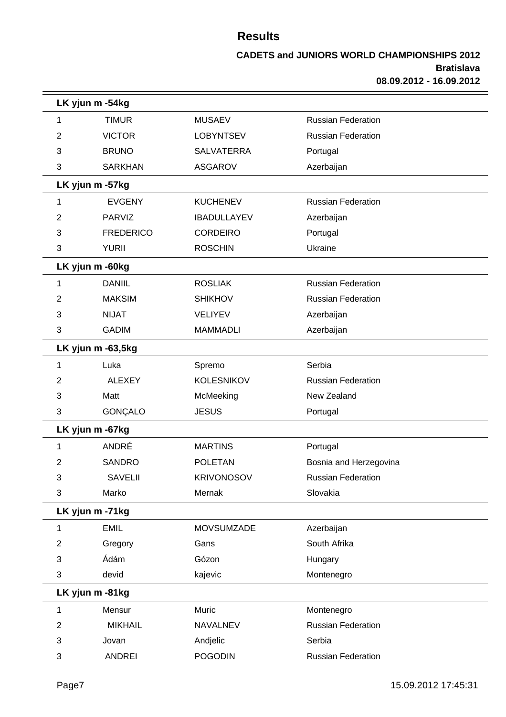|   | LK yjun m -54kg   |                    |                           |  |
|---|-------------------|--------------------|---------------------------|--|
| 1 | <b>TIMUR</b>      | <b>MUSAEV</b>      | <b>Russian Federation</b> |  |
| 2 | <b>VICTOR</b>     | <b>LOBYNTSEV</b>   | <b>Russian Federation</b> |  |
| 3 | <b>BRUNO</b>      | <b>SALVATERRA</b>  | Portugal                  |  |
| 3 | <b>SARKHAN</b>    | <b>ASGAROV</b>     | Azerbaijan                |  |
|   | LK yjun m -57kg   |                    |                           |  |
| 1 | <b>EVGENY</b>     | <b>KUCHENEV</b>    | <b>Russian Federation</b> |  |
| 2 | PARVIZ            | <b>IBADULLAYEV</b> | Azerbaijan                |  |
| 3 | <b>FREDERICO</b>  | <b>CORDEIRO</b>    | Portugal                  |  |
| 3 | <b>YURII</b>      | <b>ROSCHIN</b>     | Ukraine                   |  |
|   | LK yjun m -60kg   |                    |                           |  |
| 1 | <b>DANIIL</b>     | <b>ROSLIAK</b>     | <b>Russian Federation</b> |  |
| 2 | <b>MAKSIM</b>     | <b>SHIKHOV</b>     | <b>Russian Federation</b> |  |
| 3 | <b>NIJAT</b>      | <b>VELIYEV</b>     | Azerbaijan                |  |
| 3 | <b>GADIM</b>      | <b>MAMMADLI</b>    | Azerbaijan                |  |
|   | LK yjun m -63,5kg |                    |                           |  |
| 1 | Luka              | Spremo             | Serbia                    |  |
| 2 | <b>ALEXEY</b>     | <b>KOLESNIKOV</b>  | <b>Russian Federation</b> |  |
| 3 | Matt              | McMeeking          | New Zealand               |  |
| 3 | GONÇALO           | <b>JESUS</b>       | Portugal                  |  |
|   | LK yjun m -67kg   |                    |                           |  |
| 1 | ANDRÉ             | <b>MARTINS</b>     | Portugal                  |  |
| 2 | <b>SANDRO</b>     | <b>POLETAN</b>     | Bosnia and Herzegovina    |  |
| 3 | <b>SAVELII</b>    | <b>KRIVONOSOV</b>  | <b>Russian Federation</b> |  |
| 3 | Marko             | Mernak             | Slovakia                  |  |
|   | LK yjun m -71kg   |                    |                           |  |
| 1 | <b>EMIL</b>       | <b>MOVSUMZADE</b>  | Azerbaijan                |  |
| 2 | Gregory           | Gans               | South Afrika              |  |
| 3 | Ádám              | Gózon              | Hungary                   |  |
| 3 | devid             | kajevic            | Montenegro                |  |
|   | LK yjun m -81kg   |                    |                           |  |
| 1 | Mensur            | Muric              | Montenegro                |  |
| 2 | <b>MIKHAIL</b>    | <b>NAVALNEV</b>    | <b>Russian Federation</b> |  |
| 3 | Jovan             | Andjelic           | Serbia                    |  |
| 3 | <b>ANDREI</b>     | <b>POGODIN</b>     | Russian Federation        |  |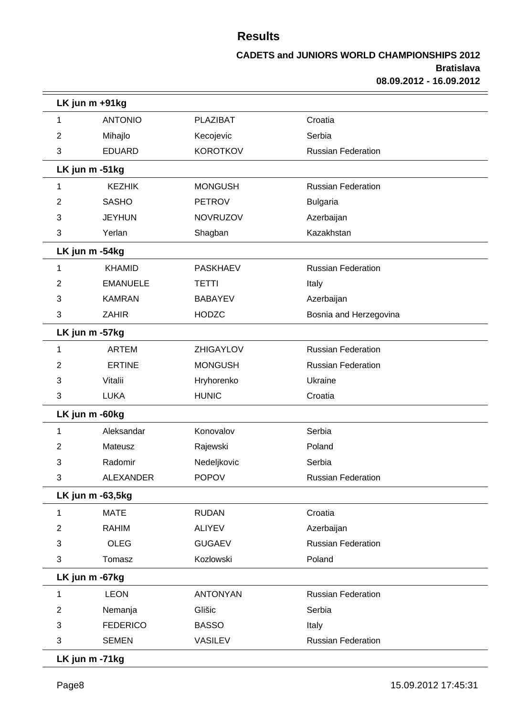|   | LK jun m +91kg   |                 |                           |  |
|---|------------------|-----------------|---------------------------|--|
| 1 | <b>ANTONIO</b>   | <b>PLAZIBAT</b> | Croatia                   |  |
| 2 | Mihajlo          | Kecojevic       | Serbia                    |  |
| 3 | <b>EDUARD</b>    | <b>KOROTKOV</b> | <b>Russian Federation</b> |  |
|   | LK jun m -51kg   |                 |                           |  |
| 1 | <b>KEZHIK</b>    | <b>MONGUSH</b>  | <b>Russian Federation</b> |  |
| 2 | <b>SASHO</b>     | <b>PETROV</b>   | <b>Bulgaria</b>           |  |
| 3 | <b>JEYHUN</b>    | <b>NOVRUZOV</b> | Azerbaijan                |  |
| 3 | Yerlan           | Shagban         | Kazakhstan                |  |
|   | LK jun m -54kg   |                 |                           |  |
| 1 | <b>KHAMID</b>    | <b>PASKHAEV</b> | <b>Russian Federation</b> |  |
| 2 | <b>EMANUELE</b>  | <b>TETTI</b>    | Italy                     |  |
| 3 | <b>KAMRAN</b>    | <b>BABAYEV</b>  | Azerbaijan                |  |
| 3 | <b>ZAHIR</b>     | <b>HODZC</b>    | Bosnia and Herzegovina    |  |
|   | LK jun m -57kg   |                 |                           |  |
| 1 | <b>ARTEM</b>     | ZHIGAYLOV       | <b>Russian Federation</b> |  |
| 2 | <b>ERTINE</b>    | <b>MONGUSH</b>  | <b>Russian Federation</b> |  |
| 3 | Vitalii          | Hryhorenko      | Ukraine                   |  |
| 3 | <b>LUKA</b>      | <b>HUNIC</b>    | Croatia                   |  |
|   | LK jun m -60kg   |                 |                           |  |
| 1 | Aleksandar       | Konovalov       | Serbia                    |  |
| 2 | Mateusz          | Rajewski        | Poland                    |  |
| 3 | Radomir          | Nedeljkovic     | Serbia                    |  |
| 3 | ALEXANDER        | <b>POPOV</b>    | <b>Russian Federation</b> |  |
|   | LK jun m -63,5kg |                 |                           |  |
| 1 | <b>MATE</b>      | <b>RUDAN</b>    | Croatia                   |  |
| 2 | <b>RAHIM</b>     | <b>ALIYEV</b>   | Azerbaijan                |  |
| 3 | <b>OLEG</b>      | <b>GUGAEV</b>   | <b>Russian Federation</b> |  |
| 3 | Tomasz           | Kozlowski       | Poland                    |  |
|   | LK jun m -67kg   |                 |                           |  |
| 1 | <b>LEON</b>      | <b>ANTONYAN</b> | <b>Russian Federation</b> |  |
| 2 | Nemanja          | Glišic          | Serbia                    |  |
| 3 | <b>FEDERICO</b>  | <b>BASSO</b>    | Italy                     |  |
| 3 | <b>SEMEN</b>     | <b>VASILEV</b>  | <b>Russian Federation</b> |  |
|   | LK jun m -71kg   |                 |                           |  |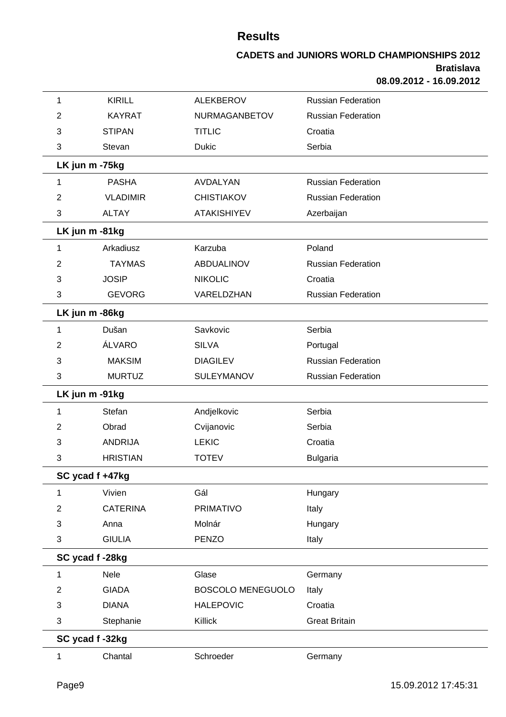| 1               | <b>KIRILL</b>   | <b>ALEKBEROV</b>   | <b>Russian Federation</b> |
|-----------------|-----------------|--------------------|---------------------------|
| 2               | <b>KAYRAT</b>   | NURMAGANBETOV      | <b>Russian Federation</b> |
| 3               | <b>STIPAN</b>   | <b>TITLIC</b>      | Croatia                   |
| 3               | Stevan          | <b>Dukic</b>       | Serbia                    |
| LK jun m -75kg  |                 |                    |                           |
| 1               | <b>PASHA</b>    | AVDALYAN           | <b>Russian Federation</b> |
| 2               | <b>VLADIMIR</b> | <b>CHISTIAKOV</b>  | <b>Russian Federation</b> |
| 3               | <b>ALTAY</b>    | <b>ATAKISHIYEV</b> | Azerbaijan                |
| LK jun m -81kg  |                 |                    |                           |
| 1               | Arkadiusz       | Karzuba            | Poland                    |
| 2               | <b>TAYMAS</b>   | <b>ABDUALINOV</b>  | <b>Russian Federation</b> |
| 3               | <b>JOSIP</b>    | <b>NIKOLIC</b>     | Croatia                   |
| 3               | <b>GEVORG</b>   | VARELDZHAN         | <b>Russian Federation</b> |
| LK jun m -86kg  |                 |                    |                           |
| 1               | Dušan           | Savkovic           | Serbia                    |
| 2               | ÁLVARO          | <b>SILVA</b>       | Portugal                  |
| 3               | <b>MAKSIM</b>   | <b>DIAGILEV</b>    | <b>Russian Federation</b> |
| 3               | <b>MURTUZ</b>   | <b>SULEYMANOV</b>  | <b>Russian Federation</b> |
| LK jun m -91kg  |                 |                    |                           |
| 1               | Stefan          | Andjelkovic        | Serbia                    |
| 2               | Obrad           | Cvijanovic         | Serbia                    |
| 3               | <b>ANDRIJA</b>  | <b>LEKIC</b>       | Croatia                   |
| 3               | <b>HRISTIAN</b> | <b>TOTEV</b>       | <b>Bulgaria</b>           |
| SC ycad f +47kg |                 |                    |                           |
| 1               | Vivien          | Gál                | Hungary                   |
| $\overline{2}$  | <b>CATERINA</b> | <b>PRIMATIVO</b>   | Italy                     |
| 3               | Anna            | Molnár             | Hungary                   |
| 3               | <b>GIULIA</b>   | <b>PENZO</b>       | Italy                     |
| SC ycad f-28kg  |                 |                    |                           |
| 1               | Nele            | Glase              | Germany                   |
| $\overline{2}$  | <b>GIADA</b>    | BOSCOLO MENEGUOLO  | Italy                     |
| 3               | <b>DIANA</b>    | <b>HALEPOVIC</b>   | Croatia                   |
| 3               | Stephanie       | Killick            | <b>Great Britain</b>      |
| SC ycad f-32kg  |                 |                    |                           |
| 1               | Chantal         | Schroeder          | Germany                   |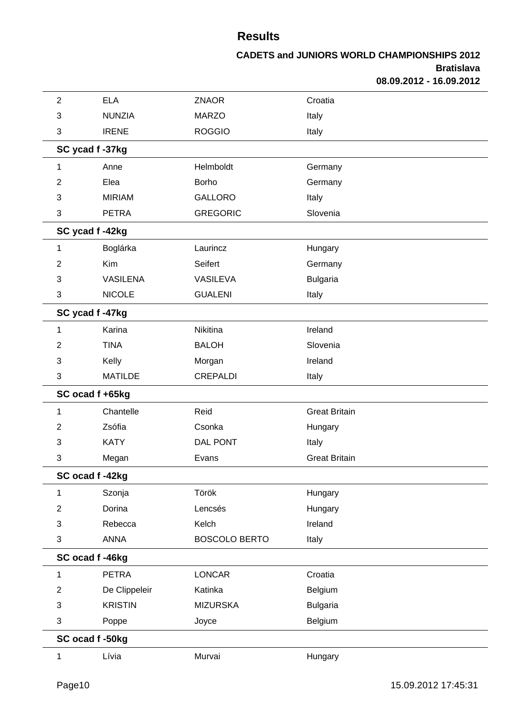| $\overline{2}$ | <b>ELA</b>      | <b>ZNAOR</b>         | Croatia              |  |
|----------------|-----------------|----------------------|----------------------|--|
| 3              | <b>NUNZIA</b>   | <b>MARZO</b>         | Italy                |  |
| 3              | <b>IRENE</b>    | <b>ROGGIO</b>        | Italy                |  |
|                | SC ycad f -37kg |                      |                      |  |
| 1              | Anne            | Helmboldt            | Germany              |  |
| $\overline{c}$ | Elea            | Borho                | Germany              |  |
| 3              | <b>MIRIAM</b>   | <b>GALLORO</b>       | Italy                |  |
| 3              | <b>PETRA</b>    | <b>GREGORIC</b>      | Slovenia             |  |
|                | SC ycad f-42kg  |                      |                      |  |
| 1              | Boglárka        | Laurincz             | Hungary              |  |
| $\overline{c}$ | Kim             | Seifert              | Germany              |  |
| 3              | <b>VASILENA</b> | VASILEVA             | <b>Bulgaria</b>      |  |
| 3              | <b>NICOLE</b>   | <b>GUALENI</b>       | Italy                |  |
|                | SC ycad f-47kg  |                      |                      |  |
| 1              | Karina          | Nikitina             | Ireland              |  |
| $\overline{2}$ | <b>TINA</b>     | <b>BALOH</b>         | Slovenia             |  |
| 3              | Kelly           | Morgan               | Ireland              |  |
| 3              | <b>MATILDE</b>  | <b>CREPALDI</b>      | Italy                |  |
|                | SC ocad f +65kg |                      |                      |  |
| 1              | Chantelle       | Reid                 | <b>Great Britain</b> |  |
| $\overline{2}$ | Zsófia          | Csonka               | Hungary              |  |
| 3              | <b>KATY</b>     | <b>DAL PONT</b>      | Italy                |  |
| 3              | Megan           | Evans                | <b>Great Britain</b> |  |
|                | SC ocad f-42kg  |                      |                      |  |
| 1              | Szonja          | Török                | Hungary              |  |
| $\overline{2}$ | Dorina          | Lencsés              | Hungary              |  |
| 3              | Rebecca         | Kelch                | Ireland              |  |
| 3              | <b>ANNA</b>     | <b>BOSCOLO BERTO</b> | Italy                |  |
|                | SC ocad f-46kg  |                      |                      |  |
| 1              | <b>PETRA</b>    | <b>LONCAR</b>        | Croatia              |  |
| $\overline{2}$ | De Clippeleir   | Katinka              | Belgium              |  |
| 3              | <b>KRISTIN</b>  | <b>MIZURSKA</b>      | <b>Bulgaria</b>      |  |
| 3              | Poppe           | Joyce                | Belgium              |  |
|                | SC ocad f -50kg |                      |                      |  |
| 1              | Lívia           | Murvai               | Hungary              |  |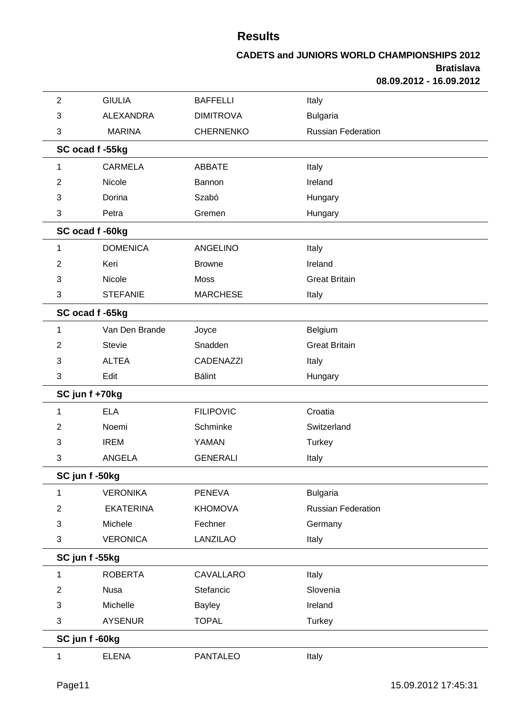| $\overline{2}$ | <b>GIULIA</b>    | <b>BAFFELLI</b>  | Italy                     |  |
|----------------|------------------|------------------|---------------------------|--|
| 3              | <b>ALEXANDRA</b> | <b>DIMITROVA</b> | <b>Bulgaria</b>           |  |
| 3              | <b>MARINA</b>    | <b>CHERNENKO</b> | <b>Russian Federation</b> |  |
|                | SC ocad f -55kg  |                  |                           |  |
| 1              | <b>CARMELA</b>   | <b>ABBATE</b>    | Italy                     |  |
| $\overline{2}$ | Nicole           | Bannon           | Ireland                   |  |
| 3              | Dorina           | Szabó            | Hungary                   |  |
| 3              | Petra            | Gremen           | Hungary                   |  |
|                | SC ocad f -60kg  |                  |                           |  |
| 1              | <b>DOMENICA</b>  | <b>ANGELINO</b>  | Italy                     |  |
| $\overline{2}$ | Keri             | <b>Browne</b>    | Ireland                   |  |
| 3              | Nicole           | Moss             | <b>Great Britain</b>      |  |
| 3              | <b>STEFANIE</b>  | <b>MARCHESE</b>  | Italy                     |  |
|                | SC ocad f -65kg  |                  |                           |  |
| 1              | Van Den Brande   | Joyce            | Belgium                   |  |
| 2              | <b>Stevie</b>    | Snadden          | <b>Great Britain</b>      |  |
| 3              | <b>ALTEA</b>     | CADENAZZI        | Italy                     |  |
| 3              | Edit             | <b>Bálint</b>    | Hungary                   |  |
|                | SC jun f +70kg   |                  |                           |  |
| 1              | <b>ELA</b>       | <b>FILIPOVIC</b> | Croatia                   |  |
| 2              | Noemi            | Schminke         | Switzerland               |  |
| 3              | <b>IREM</b>      | YAMAN            | <b>Turkey</b>             |  |
| 3              | <b>ANGELA</b>    | <b>GENERALI</b>  | Italy                     |  |
|                | SC jun f -50kg   |                  |                           |  |
| 1              | <b>VERONIKA</b>  | <b>PENEVA</b>    | <b>Bulgaria</b>           |  |
| $\overline{2}$ | <b>EKATERINA</b> | <b>KHOMOVA</b>   | <b>Russian Federation</b> |  |
| 3              | Michele          | Fechner          | Germany                   |  |
| 3              | <b>VERONICA</b>  | LANZILAO         | Italy                     |  |
|                | SC jun f -55kg   |                  |                           |  |
| 1              | <b>ROBERTA</b>   | CAVALLARO        | Italy                     |  |
| $\overline{2}$ | <b>Nusa</b>      | Stefancic        | Slovenia                  |  |
| 3              | Michelle         | <b>Bayley</b>    | Ireland                   |  |
| 3              | <b>AYSENUR</b>   | <b>TOPAL</b>     | Turkey                    |  |
|                | SC jun f -60kg   |                  |                           |  |
| 1              | <b>ELENA</b>     | PANTALEO         | Italy                     |  |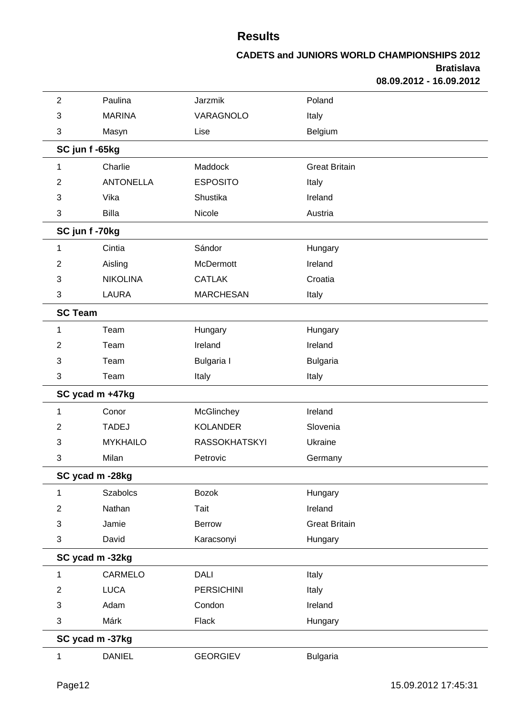| $\overline{2}$ | Paulina          | Jarzmik              | Poland               |  |
|----------------|------------------|----------------------|----------------------|--|
| 3              | <b>MARINA</b>    | VARAGNOLO            | Italy                |  |
| 3              | Masyn            | Lise                 | Belgium              |  |
|                | SC jun f -65kg   |                      |                      |  |
| 1              | Charlie          | Maddock              | <b>Great Britain</b> |  |
| 2              | <b>ANTONELLA</b> | <b>ESPOSITO</b>      | Italy                |  |
| 3              | Vika             | Shustika             | Ireland              |  |
| 3              | <b>Billa</b>     | Nicole               | Austria              |  |
|                | SC jun f-70kg    |                      |                      |  |
| 1              | Cintia           | Sándor               | Hungary              |  |
| $\overline{2}$ | Aisling          | McDermott            | Ireland              |  |
| 3              | <b>NIKOLINA</b>  | <b>CATLAK</b>        | Croatia              |  |
| 3              | <b>LAURA</b>     | <b>MARCHESAN</b>     | Italy                |  |
| <b>SC Team</b> |                  |                      |                      |  |
| 1              | Team             | Hungary              | Hungary              |  |
| $\overline{2}$ | Team             | Ireland              | Ireland              |  |
| 3              | Team             | <b>Bulgaria</b> I    | <b>Bulgaria</b>      |  |
| 3              | Team             | Italy                | Italy                |  |
|                | SC ycad m +47kg  |                      |                      |  |
| 1              | Conor            | McGlinchey           | Ireland              |  |
| $\overline{2}$ | <b>TADEJ</b>     | <b>KOLANDER</b>      | Slovenia             |  |
| 3              | <b>MYKHAILO</b>  | <b>RASSOKHATSKYI</b> | Ukraine              |  |
| 3              | Milan            | Petrovic             | Germany              |  |
|                | SC ycad m -28kg  |                      |                      |  |
| 1              | <b>Szabolcs</b>  | <b>Bozok</b>         | Hungary              |  |
| $\overline{2}$ | Nathan           | Tait                 | Ireland              |  |
| 3              | Jamie            | Berrow               | <b>Great Britain</b> |  |
| 3              | David            | Karacsonyi           | Hungary              |  |
|                | SC ycad m -32kg  |                      |                      |  |
| 1              | CARMELO          | <b>DALI</b>          | Italy                |  |
| $\overline{2}$ | <b>LUCA</b>      | <b>PERSICHINI</b>    | Italy                |  |
| 3              | Adam             | Condon               | Ireland              |  |
| 3              | Márk             | Flack                | Hungary              |  |
|                | SC ycad m -37kg  |                      |                      |  |
| 1              | <b>DANIEL</b>    | <b>GEORGIEV</b>      | <b>Bulgaria</b>      |  |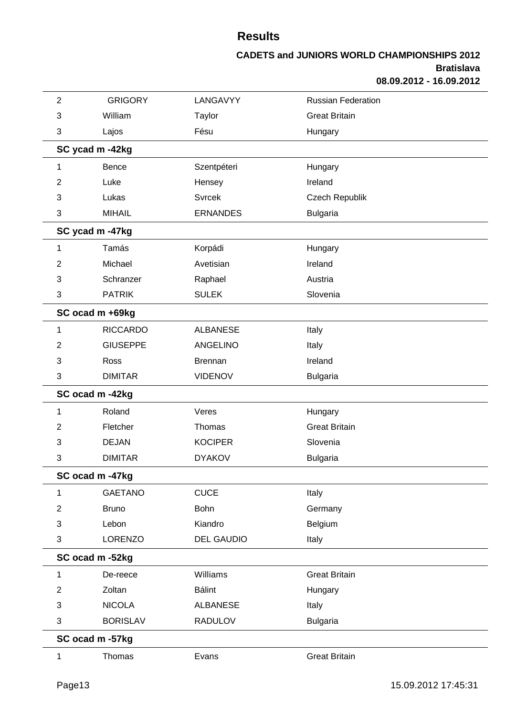| $\overline{2}$ | <b>GRIGORY</b>  | LANGAVYY          | <b>Russian Federation</b> |  |
|----------------|-----------------|-------------------|---------------------------|--|
| 3              | William         | Taylor            | <b>Great Britain</b>      |  |
| 3              | Lajos           | Fésu              | Hungary                   |  |
|                | SC ycad m -42kg |                   |                           |  |
| 1              | <b>Bence</b>    | Szentpéteri       | Hungary                   |  |
| $\overline{2}$ | Luke            | Hensey            | Ireland                   |  |
| 3              | Lukas           | <b>Svrcek</b>     | Czech Republik            |  |
| 3              | <b>MIHAIL</b>   | <b>ERNANDES</b>   | <b>Bulgaria</b>           |  |
|                | SC ycad m -47kg |                   |                           |  |
| 1              | Tamás           | Korpádi           | Hungary                   |  |
| $\overline{2}$ | Michael         | Avetisian         | Ireland                   |  |
| 3              | Schranzer       | Raphael           | Austria                   |  |
| 3              | <b>PATRIK</b>   | <b>SULEK</b>      | Slovenia                  |  |
|                | SC ocad m +69kg |                   |                           |  |
| 1              | <b>RICCARDO</b> | <b>ALBANESE</b>   | Italy                     |  |
| $\overline{2}$ | <b>GIUSEPPE</b> | <b>ANGELINO</b>   | Italy                     |  |
| 3              | Ross            | <b>Brennan</b>    | Ireland                   |  |
| 3              | <b>DIMITAR</b>  | <b>VIDENOV</b>    | <b>Bulgaria</b>           |  |
|                | SC ocad m -42kg |                   |                           |  |
| 1              | Roland          | Veres             | Hungary                   |  |
| $\overline{2}$ | Fletcher        | Thomas            | <b>Great Britain</b>      |  |
| 3              | <b>DEJAN</b>    | <b>KOCIPER</b>    | Slovenia                  |  |
| 3              | <b>DIMITAR</b>  | <b>DYAKOV</b>     | <b>Bulgaria</b>           |  |
|                | SC ocad m -47kg |                   |                           |  |
| 1              | <b>GAETANO</b>  | <b>CUCE</b>       | Italy                     |  |
| $\overline{2}$ | <b>Bruno</b>    | Bohn              | Germany                   |  |
| 3              | Lebon           | Kiandro           | Belgium                   |  |
| 3              | LORENZO         | <b>DEL GAUDIO</b> | Italy                     |  |
|                | SC ocad m -52kg |                   |                           |  |
| 1              | De-reece        | Williams          | <b>Great Britain</b>      |  |
| $\overline{2}$ | Zoltan          | <b>Bálint</b>     | Hungary                   |  |
| 3              | <b>NICOLA</b>   | <b>ALBANESE</b>   | Italy                     |  |
| 3              | <b>BORISLAV</b> | <b>RADULOV</b>    | <b>Bulgaria</b>           |  |
|                | SC ocad m -57kg |                   |                           |  |
| $\mathbf{1}$   | Thomas          | Evans             | <b>Great Britain</b>      |  |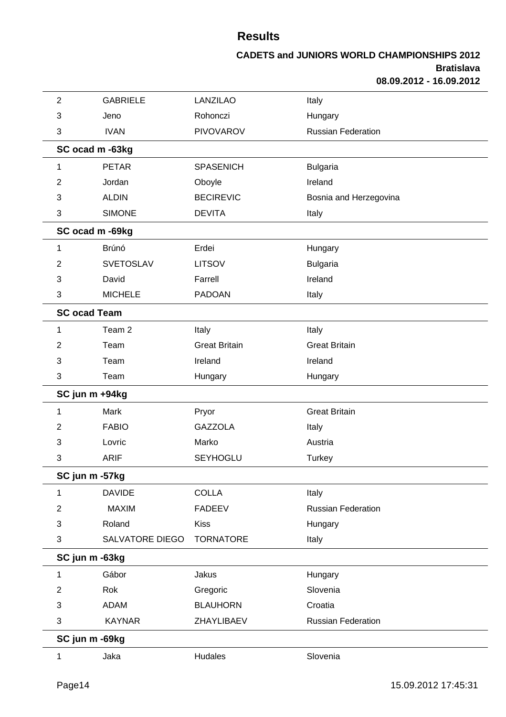| $\overline{2}$ | <b>GABRIELE</b>     | <b>LANZILAO</b>      | Italy                     |
|----------------|---------------------|----------------------|---------------------------|
| 3              | Jeno                | Rohonczi             | Hungary                   |
| 3              | <b>IVAN</b>         | <b>PIVOVAROV</b>     | <b>Russian Federation</b> |
|                | SC ocad m -63kg     |                      |                           |
| 1              | <b>PETAR</b>        | <b>SPASENICH</b>     | <b>Bulgaria</b>           |
| 2              | Jordan              | Oboyle               | Ireland                   |
| 3              | <b>ALDIN</b>        | <b>BECIREVIC</b>     | Bosnia and Herzegovina    |
| 3              | <b>SIMONE</b>       | <b>DEVITA</b>        | Italy                     |
|                | SC ocad m -69kg     |                      |                           |
| 1              | Brúnó               | Erdei                | Hungary                   |
| 2              | <b>SVETOSLAV</b>    | <b>LITSOV</b>        | <b>Bulgaria</b>           |
| 3              | David               | Farrell              | Ireland                   |
| 3              | <b>MICHELE</b>      | <b>PADOAN</b>        | Italy                     |
|                | <b>SC ocad Team</b> |                      |                           |
| 1              | Team <sub>2</sub>   | Italy                | Italy                     |
| 2              | Team                | <b>Great Britain</b> | <b>Great Britain</b>      |
| 3              | Team                | Ireland              | Ireland                   |
| 3              | Team                | Hungary              | Hungary                   |
|                | SC jun m +94kg      |                      |                           |
| 1              | Mark                | Pryor                | <b>Great Britain</b>      |
| 2              | <b>FABIO</b>        | <b>GAZZOLA</b>       | Italy                     |
| 3              | Lovric              | Marko                | Austria                   |
| 3              | <b>ARIF</b>         | <b>SEYHOGLU</b>      | <b>Turkey</b>             |
|                | SC jun m -57kg      |                      |                           |
| 1              | <b>DAVIDE</b>       | <b>COLLA</b>         | Italy                     |
| $\overline{2}$ | <b>MAXIM</b>        | <b>FADEEV</b>        | <b>Russian Federation</b> |
| 3              | Roland              | <b>Kiss</b>          | Hungary                   |
| 3              | SALVATORE DIEGO     | <b>TORNATORE</b>     | Italy                     |
|                | SC jun m -63kg      |                      |                           |
| 1              | Gábor               | Jakus                | Hungary                   |
| $\overline{2}$ | Rok                 | Gregoric             | Slovenia                  |
| 3              | <b>ADAM</b>         | <b>BLAUHORN</b>      | Croatia                   |
| 3              | <b>KAYNAR</b>       | ZHAYLIBAEV           | <b>Russian Federation</b> |
|                | SC jun m -69kg      |                      |                           |
| 1              | Jaka                | Hudales              | Slovenia                  |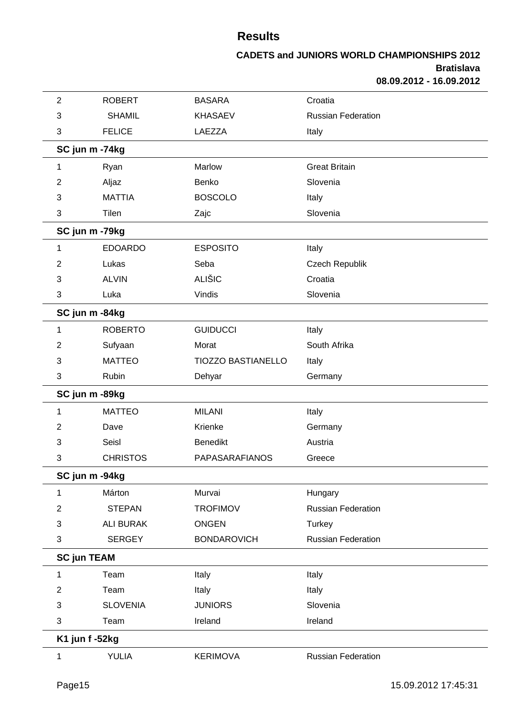| $\overline{2}$     | <b>ROBERT</b>    | <b>BASARA</b>             | Croatia                   |
|--------------------|------------------|---------------------------|---------------------------|
| 3                  | <b>SHAMIL</b>    | <b>KHASAEV</b>            | <b>Russian Federation</b> |
| 3                  | <b>FELICE</b>    | LAEZZA                    | Italy                     |
|                    | SC jun m -74kg   |                           |                           |
| 1                  | Ryan             | Marlow                    | <b>Great Britain</b>      |
| 2                  | Aljaz            | Benko                     | Slovenia                  |
| 3                  | <b>MATTIA</b>    | <b>BOSCOLO</b>            | Italy                     |
| 3                  | Tilen            | Zajc                      | Slovenia                  |
|                    | SC jun m -79kg   |                           |                           |
| 1                  | <b>EDOARDO</b>   | <b>ESPOSITO</b>           | Italy                     |
| 2                  | Lukas            | Seba                      | Czech Republik            |
| 3                  | <b>ALVIN</b>     | <b>ALIŠIC</b>             | Croatia                   |
| 3                  | Luka             | Vindis                    | Slovenia                  |
|                    | SC jun m -84kg   |                           |                           |
| 1                  | <b>ROBERTO</b>   | <b>GUIDUCCI</b>           | Italy                     |
| 2                  | Sufyaan          | Morat                     | South Afrika              |
| 3                  | <b>MATTEO</b>    | <b>TIOZZO BASTIANELLO</b> | Italy                     |
| 3                  | Rubin            | Dehyar                    | Germany                   |
|                    | SC jun m -89kg   |                           |                           |
| 1                  | <b>MATTEO</b>    | <b>MILANI</b>             | Italy                     |
| 2                  | Dave             | Krienke                   | Germany                   |
| 3                  | Seisl            | <b>Benedikt</b>           | Austria                   |
| 3                  | <b>CHRISTOS</b>  | <b>PAPASARAFIANOS</b>     | Greece                    |
|                    | SC jun m -94kg   |                           |                           |
| 1                  | Márton           | Murvai                    | Hungary                   |
| 2                  | <b>STEPAN</b>    | <b>TROFIMOV</b>           | <b>Russian Federation</b> |
| 3                  | <b>ALI BURAK</b> | <b>ONGEN</b>              | <b>Turkey</b>             |
| 3                  | <b>SERGEY</b>    | <b>BONDAROVICH</b>        | <b>Russian Federation</b> |
| <b>SC jun TEAM</b> |                  |                           |                           |
| 1                  | Team             | Italy                     | Italy                     |
| $\overline{2}$     | Team             | Italy                     | Italy                     |
| 3                  | <b>SLOVENIA</b>  | <b>JUNIORS</b>            | Slovenia                  |
| 3                  | Team             | Ireland                   | Ireland                   |
|                    | K1 jun f -52kg   |                           |                           |
| $\mathbf{1}$       | YULIA            | <b>KERIMOVA</b>           | Russian Federation        |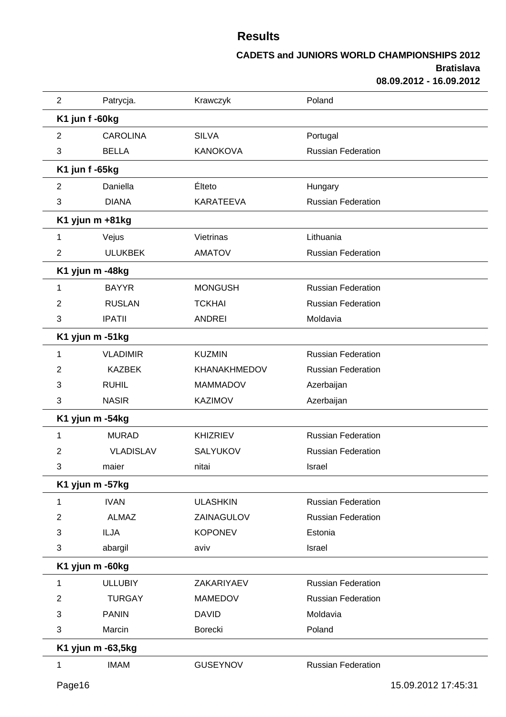| $\overline{2}$ | Patrycja.         | Krawczyk            | Poland                    |
|----------------|-------------------|---------------------|---------------------------|
|                | K1 jun f -60kg    |                     |                           |
| $\overline{2}$ | <b>CAROLINA</b>   | <b>SILVA</b>        | Portugal                  |
| 3              | <b>BELLA</b>      | <b>KANOKOVA</b>     | <b>Russian Federation</b> |
|                | K1 jun f -65kg    |                     |                           |
| $\overline{2}$ | Daniella          | Élteto              | Hungary                   |
| 3              | <b>DIANA</b>      | <b>KARATEEVA</b>    | <b>Russian Federation</b> |
|                | K1 yjun m +81kg   |                     |                           |
| 1              | Vejus             | Vietrinas           | Lithuania                 |
| $\overline{2}$ | <b>ULUKBEK</b>    | <b>AMATOV</b>       | <b>Russian Federation</b> |
|                | K1 yjun m -48kg   |                     |                           |
| 1              | <b>BAYYR</b>      | <b>MONGUSH</b>      | <b>Russian Federation</b> |
| 2              | <b>RUSLAN</b>     | <b>TCKHAI</b>       | <b>Russian Federation</b> |
| 3              | <b>IPATII</b>     | <b>ANDREI</b>       | Moldavia                  |
|                | K1 yjun m -51kg   |                     |                           |
| 1              | <b>VLADIMIR</b>   | <b>KUZMIN</b>       | <b>Russian Federation</b> |
| 2              | <b>KAZBEK</b>     | <b>KHANAKHMEDOV</b> | <b>Russian Federation</b> |
| 3              | <b>RUHIL</b>      | <b>MAMMADOV</b>     | Azerbaijan                |
| 3              | <b>NASIR</b>      | <b>KAZIMOV</b>      | Azerbaijan                |
|                | K1 yjun m -54kg   |                     |                           |
| 1              | <b>MURAD</b>      | <b>KHIZRIEV</b>     | <b>Russian Federation</b> |
| 2              | <b>VLADISLAV</b>  | <b>SALYUKOV</b>     | <b>Russian Federation</b> |
| 3              | maier             | nitai               | Israel                    |
|                | K1 yjun m -57kg   |                     |                           |
| 1              | <b>IVAN</b>       | <b>ULASHKIN</b>     | <b>Russian Federation</b> |
| 2              | <b>ALMAZ</b>      | ZAINAGULOV          | <b>Russian Federation</b> |
| 3              | <b>ILJA</b>       | <b>KOPONEV</b>      | Estonia                   |
| 3              | abargil           | aviv                | Israel                    |
|                | K1 yjun m -60kg   |                     |                           |
| 1              | <b>ULLUBIY</b>    | ZAKARIYAEV          | <b>Russian Federation</b> |
| 2              | <b>TURGAY</b>     | <b>MAMEDOV</b>      | <b>Russian Federation</b> |
| 3              | <b>PANIN</b>      | <b>DAVID</b>        | Moldavia                  |
| 3              | Marcin            | Borecki             | Poland                    |
|                | K1 yjun m -63,5kg |                     |                           |
| 1              | <b>IMAM</b>       | <b>GUSEYNOV</b>     | <b>Russian Federation</b> |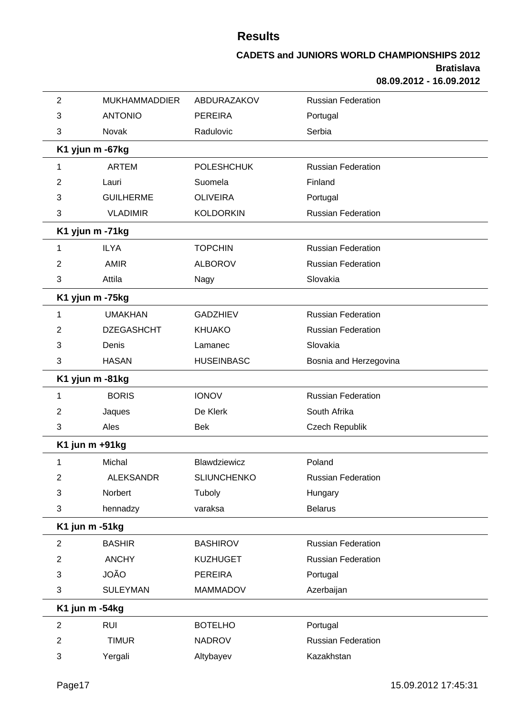| $\overline{2}$ | <b>MUKHAMMADDIER</b> | ABDURAZAKOV        | <b>Russian Federation</b> |
|----------------|----------------------|--------------------|---------------------------|
| 3              | <b>ANTONIO</b>       | <b>PEREIRA</b>     | Portugal                  |
| 3              | Novak                | Radulovic          | Serbia                    |
|                | K1 yjun m -67kg      |                    |                           |
| 1              | <b>ARTEM</b>         | <b>POLESHCHUK</b>  | <b>Russian Federation</b> |
| 2              | Lauri                | Suomela            | Finland                   |
| 3              | <b>GUILHERME</b>     | <b>OLIVEIRA</b>    | Portugal                  |
| 3              | <b>VLADIMIR</b>      | <b>KOLDORKIN</b>   | <b>Russian Federation</b> |
|                | K1 yjun m -71kg      |                    |                           |
| 1              | <b>ILYA</b>          | <b>TOPCHIN</b>     | <b>Russian Federation</b> |
| 2              | <b>AMIR</b>          | <b>ALBOROV</b>     | <b>Russian Federation</b> |
| 3              | Attila               | Nagy               | Slovakia                  |
|                | K1 yjun m -75kg      |                    |                           |
| 1              | <b>UMAKHAN</b>       | <b>GADZHIEV</b>    | <b>Russian Federation</b> |
| 2              | <b>DZEGASHCHT</b>    | <b>KHUAKO</b>      | <b>Russian Federation</b> |
| 3              | Denis                | Lamanec            | Slovakia                  |
| 3              | <b>HASAN</b>         | <b>HUSEINBASC</b>  | Bosnia and Herzegovina    |
|                | K1 yjun m -81kg      |                    |                           |
| 1              | <b>BORIS</b>         | <b>IONOV</b>       | <b>Russian Federation</b> |
| 2              | Jaques               | De Klerk           | South Afrika              |
| 3              | Ales                 | <b>Bek</b>         | Czech Republik            |
|                | K1 jun m +91kg       |                    |                           |
| 1              | Michal               | Blawdziewicz       | Poland                    |
| $\overline{c}$ | <b>ALEKSANDR</b>     | <b>SLIUNCHENKO</b> | Russian Federation        |
| 3              | Norbert              | Tuboly             | Hungary                   |
| 3              | hennadzy             | varaksa            | <b>Belarus</b>            |
|                | K1 jun m -51kg       |                    |                           |
| $\overline{2}$ | <b>BASHIR</b>        | <b>BASHIROV</b>    | <b>Russian Federation</b> |
| $\overline{c}$ | <b>ANCHY</b>         | <b>KUZHUGET</b>    | Russian Federation        |
| 3              | <b>JOÃO</b>          | <b>PEREIRA</b>     | Portugal                  |
| 3              | <b>SULEYMAN</b>      | <b>MAMMADOV</b>    | Azerbaijan                |
|                | K1 jun m -54kg       |                    |                           |
| $\overline{2}$ | <b>RUI</b>           | <b>BOTELHO</b>     | Portugal                  |
| $\overline{c}$ | <b>TIMUR</b>         | <b>NADROV</b>      | <b>Russian Federation</b> |
| 3              | Yergali              | Altybayev          | Kazakhstan                |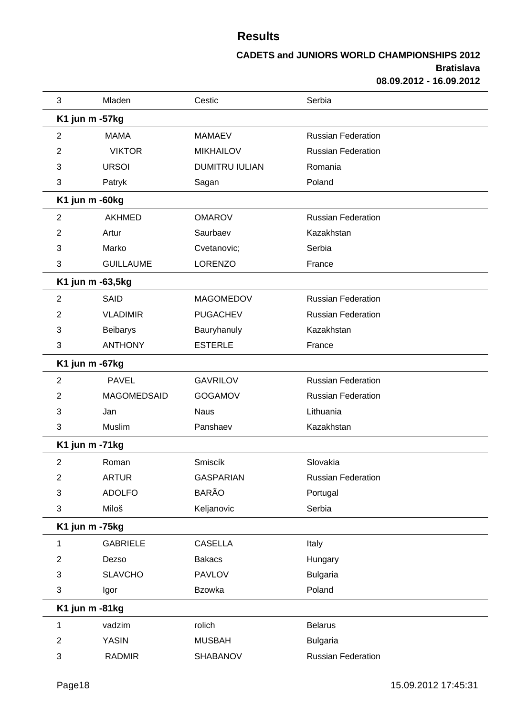| 3              | Mladen           | Cestic                | Serbia                    |  |
|----------------|------------------|-----------------------|---------------------------|--|
|                | K1 jun m -57kg   |                       |                           |  |
| 2              | <b>MAMA</b>      | <b>MAMAEV</b>         | <b>Russian Federation</b> |  |
| 2              | <b>VIKTOR</b>    | <b>MIKHAILOV</b>      | <b>Russian Federation</b> |  |
| 3              | <b>URSOI</b>     | <b>DUMITRU IULIAN</b> | Romania                   |  |
| 3              | Patryk           | Sagan                 | Poland                    |  |
|                | K1 jun m -60kg   |                       |                           |  |
| 2              | <b>AKHMED</b>    | <b>OMAROV</b>         | <b>Russian Federation</b> |  |
| 2              | Artur            | Saurbaev              | Kazakhstan                |  |
| 3              | Marko            | Cvetanovic;           | Serbia                    |  |
| 3              | <b>GUILLAUME</b> | <b>LORENZO</b>        | France                    |  |
|                | K1 jun m -63,5kg |                       |                           |  |
| $\overline{c}$ | SAID             | <b>MAGOMEDOV</b>      | <b>Russian Federation</b> |  |
| 2              | <b>VLADIMIR</b>  | <b>PUGACHEV</b>       | <b>Russian Federation</b> |  |
| 3              | <b>Beibarys</b>  | Bauryhanuly           | Kazakhstan                |  |
| 3              | <b>ANTHONY</b>   | <b>ESTERLE</b>        | France                    |  |
|                | K1 jun m -67kg   |                       |                           |  |
| 2              | <b>PAVEL</b>     | <b>GAVRILOV</b>       | <b>Russian Federation</b> |  |
| 2              | MAGOMEDSAID      | <b>GOGAMOV</b>        | <b>Russian Federation</b> |  |
| 3              | Jan              | <b>Naus</b>           | Lithuania                 |  |
| 3              | Muslim           | Panshaev              | Kazakhstan                |  |
|                | K1 jun m -71kg   |                       |                           |  |
| $\overline{2}$ | Roman            | Smiscík               | Slovakia                  |  |
| $\overline{c}$ | <b>ARTUR</b>     | <b>GASPARIAN</b>      | <b>Russian Federation</b> |  |
| 3              | <b>ADOLFO</b>    | <b>BARÃO</b>          | Portugal                  |  |
| 3              | Miloš            | Keljanovic            | Serbia                    |  |
|                | K1 jun m -75kg   |                       |                           |  |
| 1              | <b>GABRIELE</b>  | <b>CASELLA</b>        | Italy                     |  |
| $\overline{2}$ | Dezso            | <b>Bakacs</b>         | Hungary                   |  |
| 3              | <b>SLAVCHO</b>   | <b>PAVLOV</b>         | <b>Bulgaria</b>           |  |
| 3              | Igor             | <b>Bzowka</b>         | Poland                    |  |
|                | K1 jun m -81kg   |                       |                           |  |
| 1              | vadzim           | rolich                | <b>Belarus</b>            |  |
| $\overline{2}$ | <b>YASIN</b>     | <b>MUSBAH</b>         | <b>Bulgaria</b>           |  |
| 3              | <b>RADMIR</b>    | SHABANOV              | <b>Russian Federation</b> |  |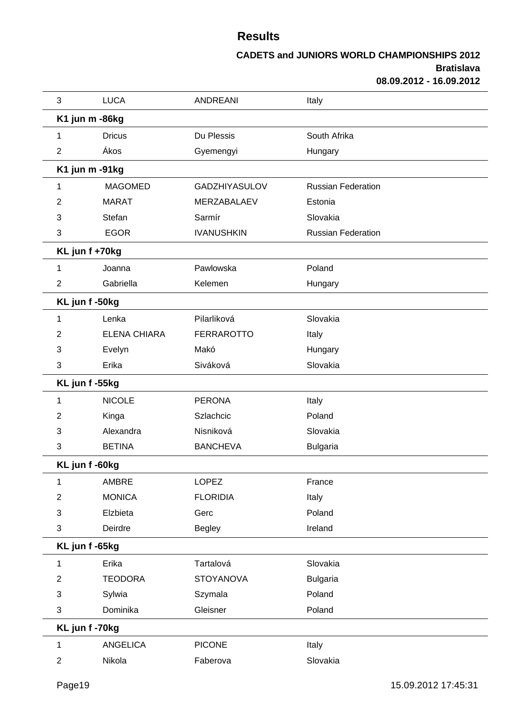| 3              | <b>LUCA</b>         | <b>ANDREANI</b>      | Italy                     |
|----------------|---------------------|----------------------|---------------------------|
| K1 jun m -86kg |                     |                      |                           |
| 1              | <b>Dricus</b>       | Du Plessis           | South Afrika              |
| $\overline{2}$ | Ákos                | Gyemengyi            | Hungary                   |
| K1 jun m -91kg |                     |                      |                           |
| 1              | <b>MAGOMED</b>      | <b>GADZHIYASULOV</b> | <b>Russian Federation</b> |
| 2              | <b>MARAT</b>        | MERZABALAEV          | Estonia                   |
| 3              | Stefan              | Sarmír               | Slovakia                  |
| 3              | <b>EGOR</b>         | <b>IVANUSHKIN</b>    | <b>Russian Federation</b> |
| KL jun f +70kg |                     |                      |                           |
| 1              | Joanna              | Pawlowska            | Poland                    |
| $\overline{2}$ | Gabriella           | Kelemen              | Hungary                   |
| KL jun f-50kg  |                     |                      |                           |
| 1              | Lenka               | Pilarliková          | Slovakia                  |
| 2              | <b>ELENA CHIARA</b> | <b>FERRAROTTO</b>    | Italy                     |
| 3              | Evelyn              | Makó                 | Hungary                   |
| 3              | Erika               | Siváková             | Slovakia                  |
| KL jun f-55kg  |                     |                      |                           |
| 1              | <b>NICOLE</b>       | <b>PERONA</b>        | Italy                     |
| 2              | Kinga               | Szlachcic            | Poland                    |
| 3              | Alexandra           | Nisniková            | Slovakia                  |
| 3              | <b>BETINA</b>       | <b>BANCHEVA</b>      | <b>Bulgaria</b>           |
| KL jun f -60kg |                     |                      |                           |
| 1              | AMBRE               | <b>LOPEZ</b>         | France                    |
| $\overline{2}$ | <b>MONICA</b>       | <b>FLORIDIA</b>      | Italy                     |
| 3              | Elzbieta            | Gerc                 | Poland                    |
| 3              | Deirdre             | Begley               | Ireland                   |
| KL jun f -65kg |                     |                      |                           |
| 1              | Erika               | Tartalová            | Slovakia                  |
| $\overline{2}$ | <b>TEODORA</b>      | <b>STOYANOVA</b>     | <b>Bulgaria</b>           |
| 3              | Sylwia              | Szymala              | Poland                    |
| 3              | Dominika            | Gleisner             | Poland                    |
| KL jun f-70kg  |                     |                      |                           |
| 1              | <b>ANGELICA</b>     | <b>PICONE</b>        | Italy                     |
| $\overline{c}$ | Nikola              | Faberova             | Slovakia                  |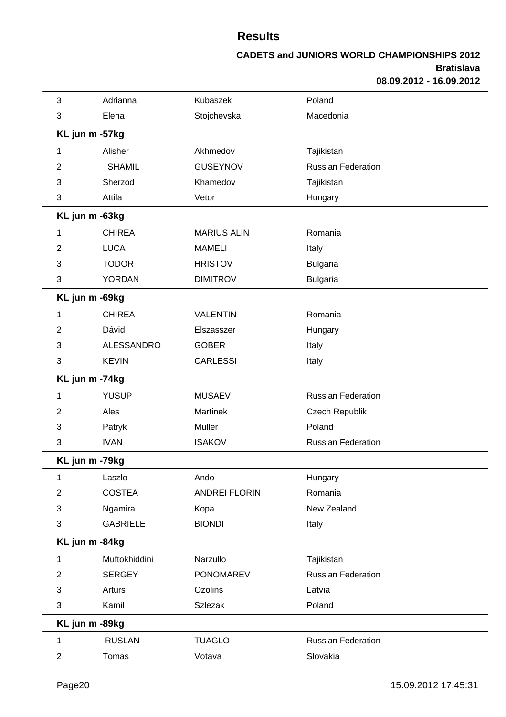| 3                       | Adrianna          | Kubaszek             | Poland                    |  |
|-------------------------|-------------------|----------------------|---------------------------|--|
| 3                       | Elena             | Stojchevska          | Macedonia                 |  |
|                         | KL jun m -57kg    |                      |                           |  |
| 1                       | Alisher           | Akhmedov             | Tajikistan                |  |
| 2                       | <b>SHAMIL</b>     | <b>GUSEYNOV</b>      | <b>Russian Federation</b> |  |
| 3                       | Sherzod           | Khamedov             | Tajikistan                |  |
| 3                       | Attila            | Vetor                | Hungary                   |  |
|                         | KL jun m -63kg    |                      |                           |  |
| 1                       | <b>CHIREA</b>     | <b>MARIUS ALIN</b>   | Romania                   |  |
| 2                       | <b>LUCA</b>       | <b>MAMELI</b>        | Italy                     |  |
| 3                       | <b>TODOR</b>      | <b>HRISTOV</b>       | <b>Bulgaria</b>           |  |
| 3                       | <b>YORDAN</b>     | <b>DIMITROV</b>      | <b>Bulgaria</b>           |  |
|                         | KL jun m -69kg    |                      |                           |  |
| 1                       | <b>CHIREA</b>     | <b>VALENTIN</b>      | Romania                   |  |
| 2                       | Dávid             | Elszasszer           | Hungary                   |  |
| 3                       | <b>ALESSANDRO</b> | <b>GOBER</b>         | Italy                     |  |
| 3                       | <b>KEVIN</b>      | <b>CARLESSI</b>      | Italy                     |  |
|                         | KL jun m -74kg    |                      |                           |  |
| 1                       | <b>YUSUP</b>      | <b>MUSAEV</b>        | <b>Russian Federation</b> |  |
| 2                       | Ales              | <b>Martinek</b>      | Czech Republik            |  |
| 3                       | Patryk            | Muller               | Poland                    |  |
| 3                       | <b>IVAN</b>       | <b>ISAKOV</b>        | <b>Russian Federation</b> |  |
|                         | KL jun m -79kg    |                      |                           |  |
| 1                       | Laszlo            | Ando                 | Hungary                   |  |
| $\overline{2}$          | <b>COSTEA</b>     | <b>ANDREI FLORIN</b> | Romania                   |  |
| 3                       | Ngamira           | Kopa                 | New Zealand               |  |
| 3                       | <b>GABRIELE</b>   | <b>BIONDI</b>        | Italy                     |  |
|                         | KL jun m -84kg    |                      |                           |  |
| 1                       | Muftokhiddini     | Narzullo             | Tajikistan                |  |
| 2                       | <b>SERGEY</b>     | <b>PONOMAREV</b>     | <b>Russian Federation</b> |  |
| 3                       | Arturs            | Ozolins              | Latvia                    |  |
| 3                       | Kamil             | <b>Szlezak</b>       | Poland                    |  |
|                         | KL jun m -89kg    |                      |                           |  |
| 1                       | <b>RUSLAN</b>     | <b>TUAGLO</b>        | <b>Russian Federation</b> |  |
| $\overline{\mathbf{c}}$ | Tomas             | Votava               | Slovakia                  |  |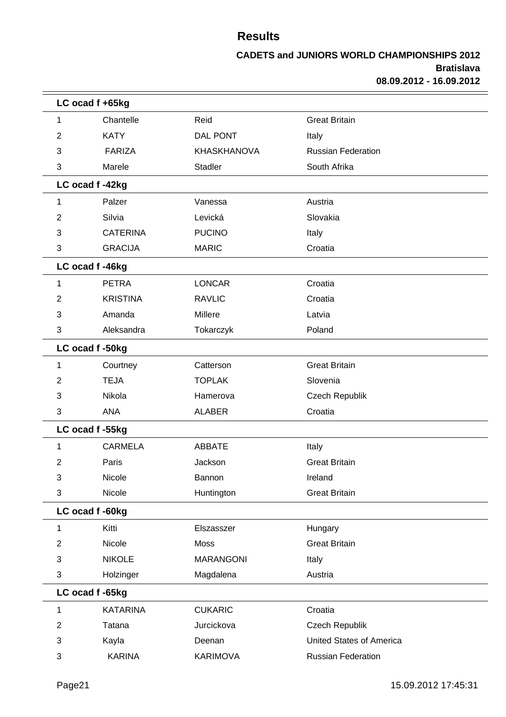|                | LC ocad f +65kg |                    |                                 |  |  |
|----------------|-----------------|--------------------|---------------------------------|--|--|
| 1              | Chantelle       | Reid               | <b>Great Britain</b>            |  |  |
| $\overline{2}$ | <b>KATY</b>     | DAL PONT           | Italy                           |  |  |
| 3              | <b>FARIZA</b>   | <b>KHASKHANOVA</b> | <b>Russian Federation</b>       |  |  |
| 3              | Marele          | Stadler            | South Afrika                    |  |  |
|                | LC ocad f-42kg  |                    |                                 |  |  |
| 1              | Palzer          | Vanessa            | Austria                         |  |  |
| $\overline{2}$ | Silvia          | Levická            | Slovakia                        |  |  |
| 3              | <b>CATERINA</b> | <b>PUCINO</b>      | Italy                           |  |  |
| 3              | <b>GRACIJA</b>  | <b>MARIC</b>       | Croatia                         |  |  |
|                | LC ocad f-46kg  |                    |                                 |  |  |
| 1              | <b>PETRA</b>    | <b>LONCAR</b>      | Croatia                         |  |  |
| $\overline{2}$ | <b>KRISTINA</b> | <b>RAVLIC</b>      | Croatia                         |  |  |
| 3              | Amanda          | Millere            | Latvia                          |  |  |
| 3              | Aleksandra      | Tokarczyk          | Poland                          |  |  |
|                | LC ocad f-50kg  |                    |                                 |  |  |
| 1              | Courtney        | Catterson          | <b>Great Britain</b>            |  |  |
| $\overline{2}$ | <b>TEJA</b>     | <b>TOPLAK</b>      | Slovenia                        |  |  |
| 3              | Nikola          | Hamerova           | Czech Republik                  |  |  |
| 3              | <b>ANA</b>      | <b>ALABER</b>      | Croatia                         |  |  |
|                | LC ocad f-55kg  |                    |                                 |  |  |
| 1              | <b>CARMELA</b>  | <b>ABBATE</b>      | Italy                           |  |  |
| $\overline{2}$ | Paris           | Jackson            | <b>Great Britain</b>            |  |  |
| 3              | Nicole          | Bannon             | Ireland                         |  |  |
| 3              | Nicole          | Huntington         | <b>Great Britain</b>            |  |  |
|                | LC ocad f -60kg |                    |                                 |  |  |
| 1              | Kitti           | Elszasszer         | Hungary                         |  |  |
| $\overline{2}$ | Nicole          | Moss               | <b>Great Britain</b>            |  |  |
| 3              | <b>NIKOLE</b>   | <b>MARANGONI</b>   | Italy                           |  |  |
| 3              | Holzinger       | Magdalena          | Austria                         |  |  |
|                | LC ocad f -65kg |                    |                                 |  |  |
| 1              | <b>KATARINA</b> | <b>CUKARIC</b>     | Croatia                         |  |  |
| $\overline{2}$ | Tatana          | Jurcickova         | Czech Republik                  |  |  |
| 3              | Kayla           | Deenan             | <b>United States of America</b> |  |  |
| 3              | <b>KARINA</b>   | <b>KARIMOVA</b>    | Russian Federation              |  |  |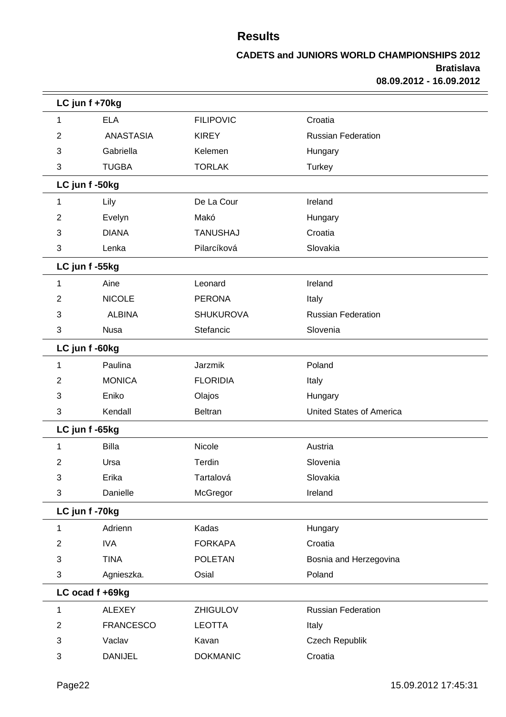|                | LC jun f +70kg   |                  |                                 |  |  |
|----------------|------------------|------------------|---------------------------------|--|--|
| 1              | <b>ELA</b>       | <b>FILIPOVIC</b> | Croatia                         |  |  |
| 2              | <b>ANASTASIA</b> | <b>KIREY</b>     | <b>Russian Federation</b>       |  |  |
| 3              | Gabriella        | Kelemen          | Hungary                         |  |  |
| 3              | <b>TUGBA</b>     | <b>TORLAK</b>    | <b>Turkey</b>                   |  |  |
|                | LC jun f-50kg    |                  |                                 |  |  |
| 1              | Lily             | De La Cour       | Ireland                         |  |  |
| 2              | Evelyn           | Makó             | Hungary                         |  |  |
| 3              | <b>DIANA</b>     | <b>TANUSHAJ</b>  | Croatia                         |  |  |
| 3              | Lenka            | Pilarcíková      | Slovakia                        |  |  |
|                | LC jun f-55kg    |                  |                                 |  |  |
| 1              | Aine             | Leonard          | Ireland                         |  |  |
| 2              | <b>NICOLE</b>    | <b>PERONA</b>    | Italy                           |  |  |
| 3              | <b>ALBINA</b>    | <b>SHUKUROVA</b> | <b>Russian Federation</b>       |  |  |
| 3              | <b>Nusa</b>      | Stefancic        | Slovenia                        |  |  |
|                | LC jun f-60kg    |                  |                                 |  |  |
| 1              | Paulina          | Jarzmik          | Poland                          |  |  |
| 2              | <b>MONICA</b>    | <b>FLORIDIA</b>  | Italy                           |  |  |
| 3              | Eniko            | Olajos           | Hungary                         |  |  |
| 3              | Kendall          | Beltran          | <b>United States of America</b> |  |  |
|                | LC jun f -65kg   |                  |                                 |  |  |
| 1              | <b>Billa</b>     | Nicole           | Austria                         |  |  |
| 2              | Ursa             | Terdin           | Slovenia                        |  |  |
| 3              | Erika            | Tartalová        | Slovakia                        |  |  |
| 3              | Danielle         | McGregor         | Ireland                         |  |  |
|                | LC jun f-70kg    |                  |                                 |  |  |
| 1              | Adrienn          | Kadas            | Hungary                         |  |  |
| $\overline{2}$ | <b>IVA</b>       | <b>FORKAPA</b>   | Croatia                         |  |  |
| 3              | <b>TINA</b>      | <b>POLETAN</b>   | Bosnia and Herzegovina          |  |  |
| 3              | Agnieszka.       | Osial            | Poland                          |  |  |
|                | LC ocad f +69kg  |                  |                                 |  |  |
| 1              | <b>ALEXEY</b>    | <b>ZHIGULOV</b>  | <b>Russian Federation</b>       |  |  |
| $\overline{2}$ | <b>FRANCESCO</b> | <b>LEOTTA</b>    | Italy                           |  |  |
| 3              | Vaclav           | Kavan            | Czech Republik                  |  |  |
| 3              | <b>DANIJEL</b>   | <b>DOKMANIC</b>  | Croatia                         |  |  |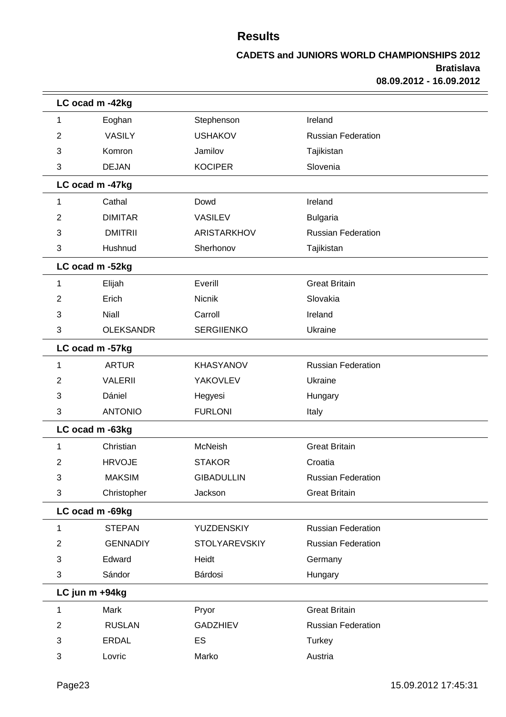|                | LC ocad m -42kg  |                      |                           |  |
|----------------|------------------|----------------------|---------------------------|--|
| 1              | Eoghan           | Stephenson           | Ireland                   |  |
| 2              | <b>VASILY</b>    | <b>USHAKOV</b>       | <b>Russian Federation</b> |  |
| 3              | Komron           | Jamilov              | Tajikistan                |  |
| 3              | <b>DEJAN</b>     | <b>KOCIPER</b>       | Slovenia                  |  |
|                | LC ocad m -47kg  |                      |                           |  |
| 1              | Cathal           | Dowd                 | Ireland                   |  |
| 2              | <b>DIMITAR</b>   | <b>VASILEV</b>       | <b>Bulgaria</b>           |  |
| 3              | <b>DMITRII</b>   | ARISTARKHOV          | <b>Russian Federation</b> |  |
| 3              | Hushnud          | Sherhonov            | Tajikistan                |  |
|                | LC ocad m -52kg  |                      |                           |  |
| 1              | Elijah           | Everill              | <b>Great Britain</b>      |  |
| 2              | Erich            | Nicnik               | Slovakia                  |  |
| 3              | <b>Niall</b>     | Carroll              | Ireland                   |  |
| 3              | <b>OLEKSANDR</b> | <b>SERGIIENKO</b>    | Ukraine                   |  |
|                | LC ocad m -57kg  |                      |                           |  |
| 1              | <b>ARTUR</b>     | <b>KHASYANOV</b>     | <b>Russian Federation</b> |  |
| 2              | <b>VALERII</b>   | YAKOVLEV             | Ukraine                   |  |
| 3              | Dániel           | Hegyesi              | Hungary                   |  |
| 3              | <b>ANTONIO</b>   | <b>FURLONI</b>       | Italy                     |  |
|                | LC ocad m -63kg  |                      |                           |  |
| 1              | Christian        | McNeish              | <b>Great Britain</b>      |  |
| 2              | <b>HRVOJE</b>    | <b>STAKOR</b>        | Croatia                   |  |
| 3              | <b>MAKSIM</b>    | <b>GIBADULLIN</b>    | <b>Russian Federation</b> |  |
| 3              | Christopher      | Jackson              | <b>Great Britain</b>      |  |
|                | LC ocad m -69kg  |                      |                           |  |
| 1              | <b>STEPAN</b>    | YUZDENSKIY           | <b>Russian Federation</b> |  |
| $\overline{2}$ | <b>GENNADIY</b>  | <b>STOLYAREVSKIY</b> | <b>Russian Federation</b> |  |
| 3              | Edward           | Heidt                | Germany                   |  |
| 3              | Sándor           | Bárdosi              | Hungary                   |  |
|                | LC jun m +94kg   |                      |                           |  |
| 1              | Mark             | Pryor                | <b>Great Britain</b>      |  |
| 2              | <b>RUSLAN</b>    | <b>GADZHIEV</b>      | <b>Russian Federation</b> |  |
| 3              | <b>ERDAL</b>     | ES                   | <b>Turkey</b>             |  |
| 3              | Lovric           | Marko                | Austria                   |  |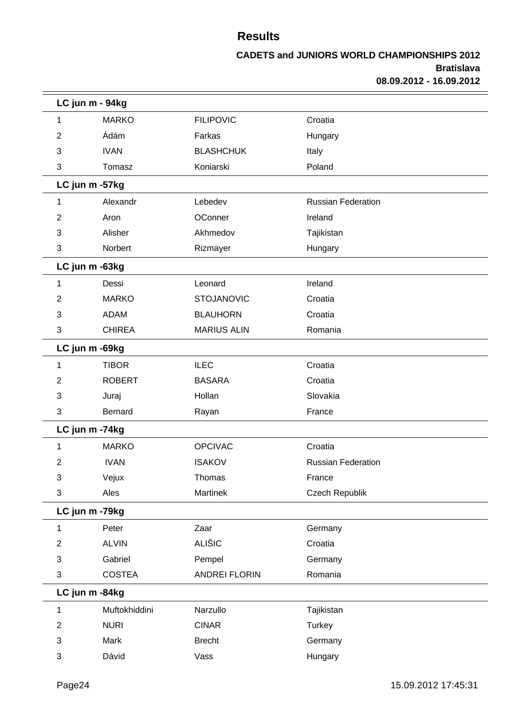|                | LC jun m - 94kg |                      |                           |  |
|----------------|-----------------|----------------------|---------------------------|--|
| 1              | <b>MARKO</b>    | <b>FILIPOVIC</b>     | Croatia                   |  |
| 2              | Ádám            | Farkas               | Hungary                   |  |
| 3              | <b>IVAN</b>     | <b>BLASHCHUK</b>     | Italy                     |  |
| 3              | Tomasz          | Koniarski            | Poland                    |  |
|                | LC jun m -57kg  |                      |                           |  |
| 1              | Alexandr        | Lebedev              | <b>Russian Federation</b> |  |
| 2              | Aron            | OConner              | Ireland                   |  |
| 3              | Alisher         | Akhmedov             | Tajikistan                |  |
| 3              | Norbert         | Rizmayer             | Hungary                   |  |
|                | LC jun m -63kg  |                      |                           |  |
| 1              | Dessi           | Leonard              | Ireland                   |  |
| 2              | <b>MARKO</b>    | <b>STOJANOVIC</b>    | Croatia                   |  |
| 3              | <b>ADAM</b>     | <b>BLAUHORN</b>      | Croatia                   |  |
| 3              | <b>CHIREA</b>   | <b>MARIUS ALIN</b>   | Romania                   |  |
|                | LC jun m -69kg  |                      |                           |  |
| 1              | <b>TIBOR</b>    | <b>ILEC</b>          | Croatia                   |  |
| 2              | <b>ROBERT</b>   | <b>BASARA</b>        | Croatia                   |  |
| 3              | Juraj           | Hollan               | Slovakia                  |  |
| 3              | <b>Bernard</b>  | Rayan                | France                    |  |
|                | LC jun m -74kg  |                      |                           |  |
| 1              | <b>MARKO</b>    | <b>OPCIVAC</b>       | Croatia                   |  |
| 2              | <b>IVAN</b>     | <b>ISAKOV</b>        | <b>Russian Federation</b> |  |
| 3              | Vejux           | Thomas               | France                    |  |
| 3              | Ales            | Martinek             | Czech Republik            |  |
|                | LC jun m -79kg  |                      |                           |  |
| 1              | Peter           | Zaar                 | Germany                   |  |
| $\overline{2}$ | <b>ALVIN</b>    | <b>ALIŠIC</b>        | Croatia                   |  |
| 3              | Gabriel         | Pempel               | Germany                   |  |
| 3              | <b>COSTEA</b>   | <b>ANDREI FLORIN</b> | Romania                   |  |
|                | LC jun m -84kg  |                      |                           |  |
| 1              | Muftokhiddini   | Narzullo             | Tajikistan                |  |
| 2              | <b>NURI</b>     | <b>CINAR</b>         | <b>Turkey</b>             |  |
| 3              | Mark            | <b>Brecht</b>        | Germany                   |  |
| 3              | Dávid           | Vass                 | Hungary                   |  |